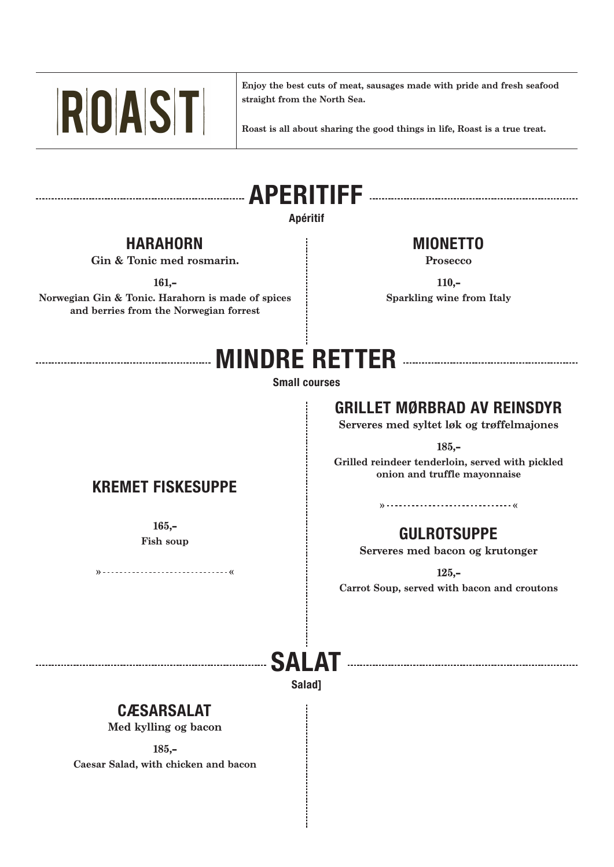

**Enjoy the best cuts of meat, sausages made with pride and fresh seafood straight from the North Sea.**

**Roast is all about sharing the good things in life, Roast is a true treat.**

# **APERITIFF**

#### **Apéritif**

#### **HARAHORN**

**Gin & Tonic med rosmarin.**

**161,-**

**Norwegian Gin & Tonic. Harahorn is made of spices and berries from the Norwegian forrest** 

#### **MIONETTO**

**Prosecco** 

**110,- Sparkling wine from Italy** 

## **MINDRE RETTER**

**Small courses** 

#### **GRILLET MØRBRAD AV REINSDYR**

**Serveres med syltet løk og trøffelmajones**

**185,-**

**Grilled reindeer tenderloin, served with pickled onion and truffle mayonnaise**

#### **» «**

## **Fish soup CULROTSUPPE**

**Serveres med bacon og krutonger** 

**125,-**

**Carrot Soup, served with bacon and croutons**

# **SALAT**

**Salad]**

#### **CÆSARSALAT**

**Med kylling og bacon**

**185,-**

**Caesar Salad, with chicken and bacon** 

**KREMET FISKESUPPE**

**165,-**

**» «**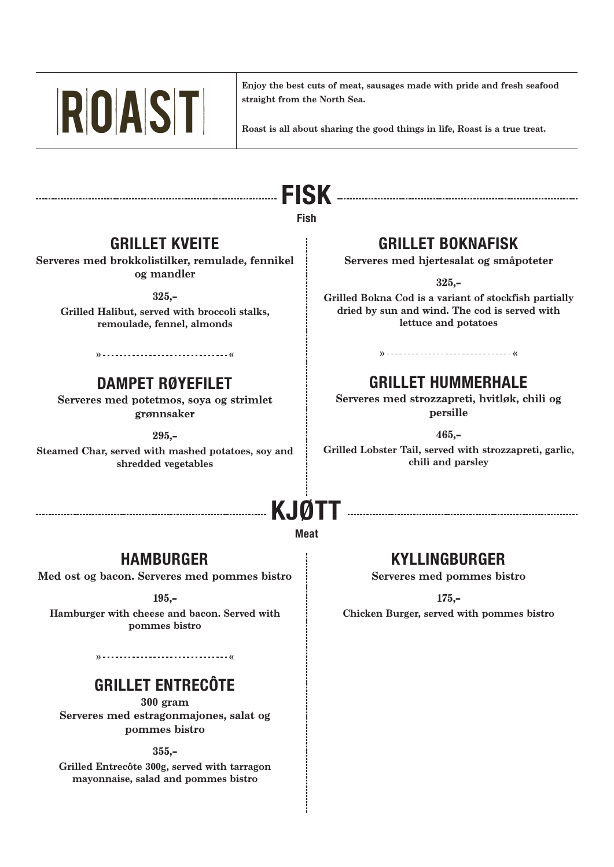

**Enjoy the best cuts of meat, sausages made with pride and fresh seafood straight from the North Sea.**

**Roast is all about sharing the good things in life, Roast is a true treat.**

# **FISK**

**Fish**

#### **GRILLET KVEITE**

**Serveres med brokkolistilker, remulade, fennikel og mandler**

**325,-**

**Grilled Halibut, served with broccoli stalks, remoulade, fennel, almonds**

#### **» «**

#### **DAMPET RØYEFILET**

**Serveres med potetmos, soya og strimlet grønnsaker**

**295,-**

**Steamed Char, served with mashed potatoes, soy and shredded vegetables**

#### **GRILLET BOKNAFISK**

**Serveres med hjertesalat og småpoteter**

**325,-**

**Grilled Bokna Cod is a variant of stockfish partially dried by sun and wind. The cod is served with lettuce and potatoes**

#### **GRILLET HUMMERHALE**

**» «**

**Serveres med strozzapreti, hvitløk, chili og persille**

**465,-**

**Grilled Lobster Tail, served with strozzapreti, garlic, chili and parsley**

# **KJØTT**

#### **Meat**

#### **HAMBURGER**

**Med ost og bacon. Serveres med pommes bistro**

**195,-**

**Hamburger with cheese and bacon. Served with pommes bistro** 

**» «**

#### **GRILLET ENTRECÔTE**

**300 gram Serveres med estragonmajones, salat og pommes bistro** 

**355,-**

**Grilled Entrecôte 300g, served with tarragon mayonnaise, salad and pommes bistro**

#### **KYLLINGBURGER**

**Serveres med pommes bistro**

**175,- Chicken Burger, served with pommes bistro**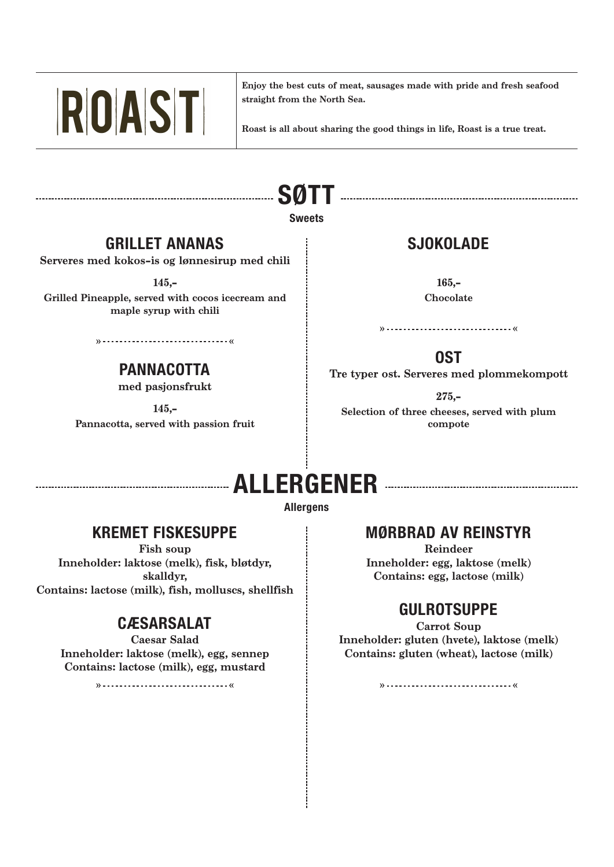

**Enjoy the best cuts of meat, sausages made with pride and fresh seafood straight from the North Sea.**

**Roast is all about sharing the good things in life, Roast is a true treat.**

# **SØTT**

#### **Sweets**

## **GRILLET ANANAS**

**Serveres med kokos-is og lønnesirup med chili** 

**145,-**

**Grilled Pineapple, served with cocos icecream and maple syrup with chili** 

## **PANNACOTTA**

**» «**

**med pasjonsfrukt**

**145,- Pannacotta, served with passion fruit** 

## **SJOKOLADE**

**165,- Chocolate**

**» «**

**OST** 

**Tre typer ost. Serveres med plommekompott**

**275,-**

**Selection of three cheeses, served with plum compote**

# **ALLERGENER**

#### **Allergens**

#### **KREMET FISKESUPPE**

**Fish soup Inneholder: laktose (melk), fisk, bløtdyr, skalldyr, Contains: lactose (milk), fish, molluscs, shellfish**

## **CÆSARSALAT**

**Caesar Salad Inneholder: laktose (melk), egg, sennep Contains: lactose (milk), egg, mustard**

**» «**

#### **MØRBRAD AV REINSTYR**

**Reindeer Inneholder: egg, laktose (melk) Contains: egg, lactose (milk)**

## **GULROTSUPPE**

**Carrot Soup Inneholder: gluten (hvete), laktose (melk) Contains: gluten (wheat), lactose (milk)**

**» «**